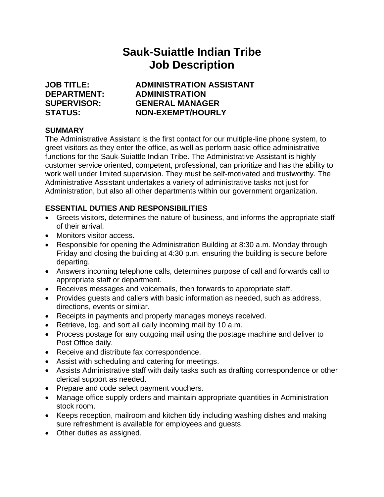# **Sauk-Suiattle Indian Tribe Job Description**

**JOB TITLE: ADMINISTRATION ASSISTANT DEPARTMENT: ADMINISTRATION SUPERVISOR: GENERAL MANAGER STATUS: NON-EXEMPT/HOURLY**

## **SUMMARY**

The Administrative Assistant is the first contact for our multiple-line phone system, to greet visitors as they enter the office, as well as perform basic office administrative functions for the Sauk-Suiattle Indian Tribe. The Administrative Assistant is highly customer service oriented, competent, professional, can prioritize and has the ability to work well under limited supervision. They must be self-motivated and trustworthy. The Administrative Assistant undertakes a variety of administrative tasks not just for Administration, but also all other departments within our government organization.

## **ESSENTIAL DUTIES AND RESPONSIBILITIES**

- Greets visitors, determines the nature of business, and informs the appropriate staff of their arrival.
- Monitors visitor access.
- Responsible for opening the Administration Building at 8:30 a.m. Monday through Friday and closing the building at 4:30 p.m. ensuring the building is secure before departing.
- Answers incoming telephone calls, determines purpose of call and forwards call to appropriate staff or department.
- Receives messages and voicemails, then forwards to appropriate staff.
- Provides quests and callers with basic information as needed, such as address, directions, events or similar.
- Receipts in payments and properly manages moneys received.
- Retrieve, log, and sort all daily incoming mail by 10 a.m.
- Process postage for any outgoing mail using the postage machine and deliver to Post Office daily.
- Receive and distribute fax correspondence.
- Assist with scheduling and catering for meetings.
- Assists Administrative staff with daily tasks such as drafting correspondence or other clerical support as needed.
- Prepare and code select payment vouchers.
- Manage office supply orders and maintain appropriate quantities in Administration stock room.
- Keeps reception, mailroom and kitchen tidy including washing dishes and making sure refreshment is available for employees and guests.
- Other duties as assigned.